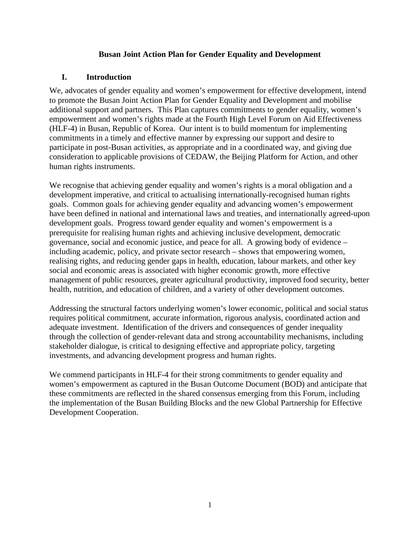## **Busan Joint Action Plan for Gender Equality and Development**

## **I. Introduction**

We, advocates of gender equality and women's empowerment for effective development, intend to promote the Busan Joint Action Plan for Gender Equality and Development and mobilise additional support and partners. This Plan captures commitments to gender equality, women's empowerment and women's rights made at the Fourth High Level Forum on Aid Effectiveness (HLF-4) in Busan, Republic of Korea. Our intent is to build momentum for implementing commitments in a timely and effective manner by expressing our support and desire to participate in post-Busan activities, as appropriate and in a coordinated way, and giving due consideration to applicable provisions of CEDAW, the Beijing Platform for Action, and other human rights instruments.

We recognise that achieving gender equality and women's rights is a moral obligation and a development imperative, and critical to actualising internationally-recognised human rights goals. Common goals for achieving gender equality and advancing women's empowerment have been defined in national and international laws and treaties, and internationally agreed-upon development goals. Progress toward gender equality and women's empowerment is a prerequisite for realising human rights and achieving inclusive development, democratic governance, social and economic justice, and peace for all. A growing body of evidence – including academic, policy, and private sector research – shows that empowering women, realising rights, and reducing gender gaps in health, education, labour markets, and other key social and economic areas is associated with higher economic growth, more effective management of public resources, greater agricultural productivity, improved food security, better health, nutrition, and education of children, and a variety of other development outcomes.

Addressing the structural factors underlying women's lower economic, political and social status requires political commitment, accurate information, rigorous analysis, coordinated action and adequate investment. Identification of the drivers and consequences of gender inequality through the collection of gender-relevant data and strong accountability mechanisms, including stakeholder dialogue, is critical to designing effective and appropriate policy, targeting investments, and advancing development progress and human rights.

We commend participants in HLF-4 for their strong commitments to gender equality and women's empowerment as captured in the Busan Outcome Document (BOD) and anticipate that these commitments are reflected in the shared consensus emerging from this Forum, including the implementation of the Busan Building Blocks and the new Global Partnership for Effective Development Cooperation.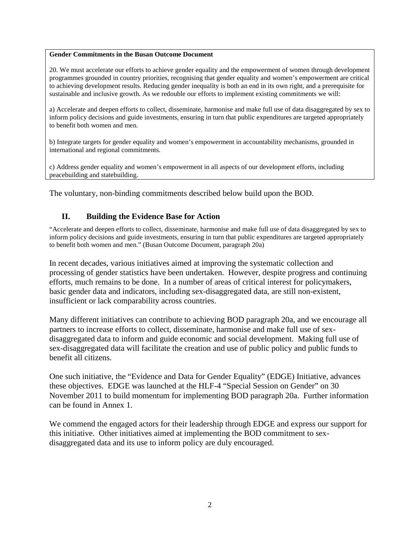#### **Gender Commitments in the Busan Outcome Document**

20. We must accelerate our efforts to achieve gender equality and the empowerment of women through development programmes grounded in country priorities, recognising that gender equality and women's empowerment are critical to achieving development results. Reducing gender inequality is both an end in its own right, and a prerequisite for sustainable and inclusive growth. As we redouble our efforts to implement existing commitments we will:

a) Accelerate and deepen efforts to collect, disseminate, harmonise and make full use of data disaggregated by sex to inform policy decisions and guide investments, ensuring in turn that public expenditures are targeted appropriately to benefit both women and men.

b) Integrate targets for gender equality and women's empowerment in accountability mechanisms, grounded in international and regional commitments.

c) Address gender equality and women's empowerment in all aspects of our development efforts, including peacebuilding and statebuilding.

The voluntary, non-binding commitments described below build upon the BOD.

### **II. Building the Evidence Base for Action**

"Accelerate and deepen efforts to collect, disseminate, harmonise and make full use of data disaggregated by sex to inform policy decisions and guide investments, ensuring in turn that public expenditures are targeted appropriately to benefit both women and men." (Busan Outcome Document, paragraph 20a)

In recent decades, various initiatives aimed at improving the systematic collection and processing of gender statistics have been undertaken. However, despite progress and continuing efforts, much remains to be done. In a number of areas of critical interest for policymakers, basic gender data and indicators, including sex-disaggregated data, are still non-existent, insufficient or lack comparability across countries.

Many different initiatives can contribute to achieving BOD paragraph 20a, and we encourage all partners to increase efforts to collect, disseminate, harmonise and make full use of sexdisaggregated data to inform and guide economic and social development. Making full use of sex-disaggregated data will facilitate the creation and use of public policy and public funds to benefit all citizens.

One such initiative, the "Evidence and Data for Gender Equality" (EDGE) Initiative, advances these objectives. EDGE was launched at the HLF-4 "Special Session on Gender" on 30 November 2011 to build momentum for implementing BOD paragraph 20a. Further information can be found in Annex 1.

We commend the engaged actors for their leadership through EDGE and express our support for this initiative. Other initiatives aimed at implementing the BOD commitment to sexdisaggregated data and its use to inform policy are duly encouraged.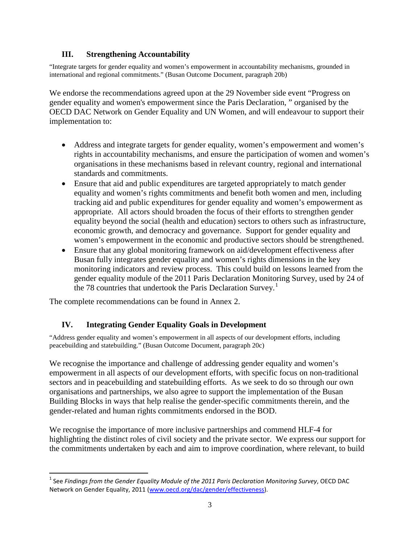# **III. Strengthening Accountability**

"Integrate targets for gender equality and women's empowerment in accountability mechanisms, grounded in international and regional commitments." (Busan Outcome Document, paragraph 20b)

We endorse the recommendations agreed upon at the 29 November side event "Progress on gender equality and women's empowerment since the Paris Declaration, " organised by the OECD DAC Network on Gender Equality and UN Women, and will endeavour to support their implementation to:

- Address and integrate targets for gender equality, women's empowerment and women's rights in accountability mechanisms, and ensure the participation of women and women's organisations in these mechanisms based in relevant country, regional and international standards and commitments.
- Ensure that aid and public expenditures are targeted appropriately to match gender equality and women's rights commitments and benefit both women and men, including tracking aid and public expenditures for gender equality and women's empowerment as appropriate. All actors should broaden the focus of their efforts to strengthen gender equality beyond the social (health and education) sectors to others such as infrastructure, economic growth, and democracy and governance. Support for gender equality and women's empowerment in the economic and productive sectors should be strengthened.
- Ensure that any global monitoring framework on aid/development effectiveness after Busan fully integrates gender equality and women's rights dimensions in the key monitoring indicators and review process. This could build on lessons learned from the gender equality module of the 2011 Paris Declaration Monitoring Survey, used by 24 of the 78 countries that undertook the Paris Declaration Survey.<sup>[1](#page-2-0)</sup>

The complete recommendations can be found in Annex 2.

## **IV. Integrating Gender Equality Goals in Development**

"Address gender equality and women's empowerment in all aspects of our development efforts, including peacebuilding and statebuilding." (Busan Outcome Document, paragraph 20c)

We recognise the importance and challenge of addressing gender equality and women's empowerment in all aspects of our development efforts, with specific focus on non-traditional sectors and in peacebuilding and statebuilding efforts. As we seek to do so through our own organisations and partnerships, we also agree to support the implementation of the Busan Building Blocks in ways that help realise the gender-specific commitments therein, and the gender-related and human rights commitments endorsed in the BOD.

We recognise the importance of more inclusive partnerships and commend HLF-4 for highlighting the distinct roles of civil society and the private sector. We express our support for the commitments undertaken by each and aim to improve coordination, where relevant, to build

<span id="page-2-0"></span> <sup>1</sup> See *Findings from the Gender Equality Module of the 2011 Paris Declaration Monitoring Survey*, OECD DAC Network on Gender Equality, 2011 [\(www.oecd.org/dac/gender/effectiveness\)](http://www.oecd.org/dac/gender/effectiveness).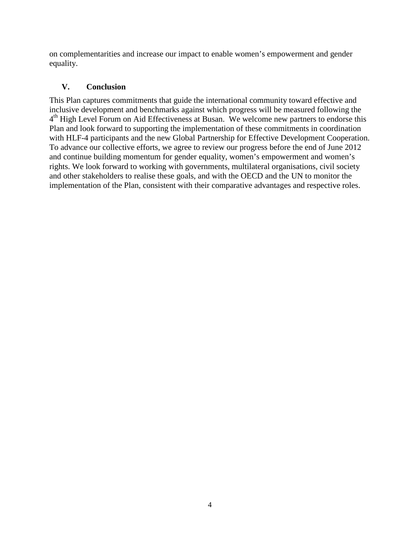on complementarities and increase our impact to enable women's empowerment and gender equality.

# **V. Conclusion**

This Plan captures commitments that guide the international community toward effective and inclusive development and benchmarks against which progress will be measured following the  $4<sup>th</sup>$  High Level Forum on Aid Effectiveness at Busan. We welcome new partners to endorse this Plan and look forward to supporting the implementation of these commitments in coordination with HLF-4 participants and the new Global Partnership for Effective Development Cooperation. To advance our collective efforts, we agree to review our progress before the end of June 2012 and continue building momentum for gender equality, women's empowerment and women's rights. We look forward to working with governments, multilateral organisations, civil society and other stakeholders to realise these goals, and with the OECD and the UN to monitor the implementation of the Plan, consistent with their comparative advantages and respective roles.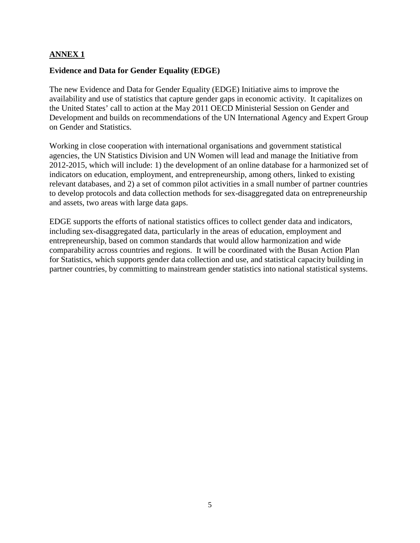## **ANNEX 1**

### **Evidence and Data for Gender Equality (EDGE)**

The new Evidence and Data for Gender Equality (EDGE) Initiative aims to improve the availability and use of statistics that capture gender gaps in economic activity. It capitalizes on the United States' call to action at the May 2011 OECD Ministerial Session on Gender and Development and builds on recommendations of the UN International Agency and Expert Group on Gender and Statistics.

Working in close cooperation with international organisations and government statistical agencies, the UN Statistics Division and UN Women will lead and manage the Initiative from 2012-2015, which will include: 1) the development of an online database for a harmonized set of indicators on education, employment, and entrepreneurship, among others, linked to existing relevant databases, and 2) a set of common pilot activities in a small number of partner countries to develop protocols and data collection methods for sex-disaggregated data on entrepreneurship and assets, two areas with large data gaps.

EDGE supports the efforts of national statistics offices to collect gender data and indicators, including sex-disaggregated data, particularly in the areas of education, employment and entrepreneurship, based on common standards that would allow harmonization and wide comparability across countries and regions. It will be coordinated with the Busan Action Plan for Statistics, which supports gender data collection and use, and statistical capacity building in partner countries, by committing to mainstream gender statistics into national statistical systems.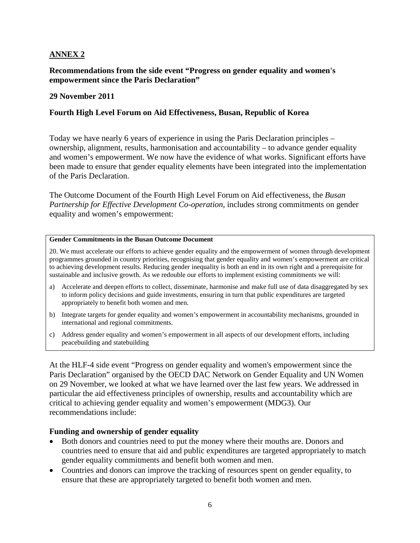## **ANNEX 2**

**Recommendations from the side event "Progress on gender equality and women's empowerment since the Paris Declaration"**

#### **29 November 2011**

### **Fourth High Level Forum on Aid Effectiveness, Busan, Republic of Korea**

Today we have nearly 6 years of experience in using the Paris Declaration principles – ownership, alignment, results, harmonisation and accountability – to advance gender equality and women's empowerment. We now have the evidence of what works. Significant efforts have been made to ensure that gender equality elements have been integrated into the implementation of the Paris Declaration.

The Outcome Document of the Fourth High Level Forum on Aid effectiveness, the *Busan Partnership for Effective Development Co-operation*, includes strong commitments on gender equality and women's empowerment:

#### **Gender Commitments in the Busan Outcome Document**

20. We must accelerate our efforts to achieve gender equality and the empowerment of women through development programmes grounded in country priorities, recognising that gender equality and women's empowerment are critical to achieving development results. Reducing gender inequality is both an end in its own right and a prerequisite for sustainable and inclusive growth. As we redouble our efforts to implement existing commitments we will:

- a) Accelerate and deepen efforts to collect, disseminate, harmonise and make full use of data disaggregated by sex to inform policy decisions and guide investments, ensuring in turn that public expenditures are targeted appropriately to benefit both women and men.
- b) Integrate targets for gender equality and women's empowerment in accountability mechanisms, grounded in international and regional commitments.
- c) Address gender equality and women's empowerment in all aspects of our development efforts, including peacebuilding and statebuilding

At the HLF-4 side event "Progress on gender equality and women's empowerment since the Paris Declaration" organised by the OECD DAC Network on Gender Equality and UN Women on 29 November, we looked at what we have learned over the last few years. We addressed in particular the aid effectiveness principles of ownership, results and accountability which are critical to achieving gender equality and women's empowerment (MDG3). Our recommendations include:

#### **Funding and ownership of gender equality**

- Both donors and countries need to put the money where their mouths are. Donors and countries need to ensure that aid and public expenditures are targeted appropriately to match gender equality commitments and benefit both women and men.
- Countries and donors can improve the tracking of resources spent on gender equality, to ensure that these are appropriately targeted to benefit both women and men.